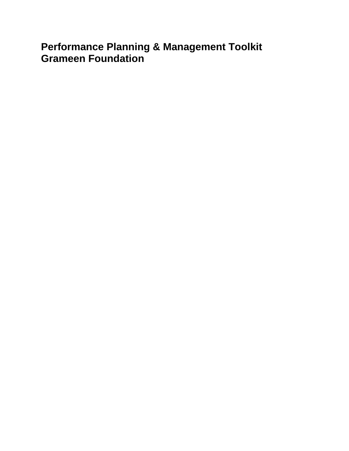# **Performance Planning & Management Toolkit Grameen Foundation**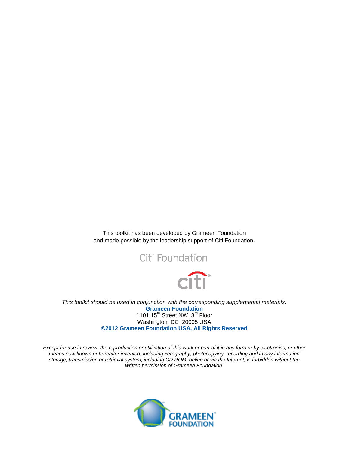This toolkit has been developed by Grameen Foundation and made possible by the leadership support of Citi Foundation.





*This toolkit should be used in conjunction with the corresponding supplemental materials.* **Grameen Foundation** 1101 15<sup>th</sup> Street NW, 3<sup>rd</sup> Floor Washington, DC 20005 USA **©2012 Grameen Foundation USA, All Rights Reserved**

*Except for use in review, the reproduction or utilization of this work or part of it in any form or by electronics, or other means now known or hereafter invented, including xerography, photocopying, recording and in any information storage, transmission or retrieval system, including CD ROM, online or via the Internet, is forbidden without the written permission of Grameen Foundation.*

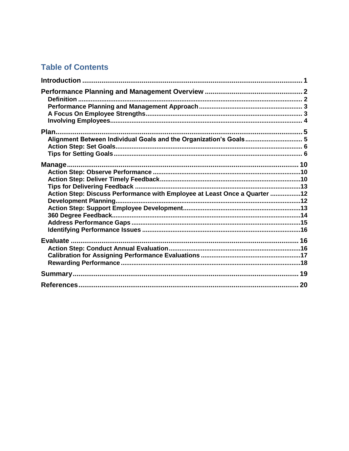# **Table of Contents**

| Alignment Between Individual Goals and the Organization's Goals 5         |  |
|---------------------------------------------------------------------------|--|
|                                                                           |  |
|                                                                           |  |
|                                                                           |  |
|                                                                           |  |
| Action Step: Discuss Performance with Employee at Least Once a Quarter 12 |  |
|                                                                           |  |
|                                                                           |  |
|                                                                           |  |
|                                                                           |  |
|                                                                           |  |
|                                                                           |  |
|                                                                           |  |
|                                                                           |  |
|                                                                           |  |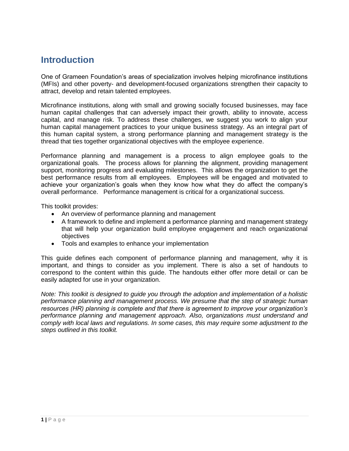# <span id="page-3-0"></span>**Introduction**

One of Grameen Foundation's areas of specialization involves helping microfinance institutions (MFIs) and other poverty- and development-focused organizations strengthen their capacity to attract, develop and retain talented employees.

Microfinance institutions, along with small and growing socially focused businesses, may face human capital challenges that can adversely impact their growth, ability to innovate, access capital, and manage risk. To address these challenges, we suggest you work to align your human capital management practices to your unique business strategy. As an integral part of this human capital system, a strong performance planning and management strategy is the thread that ties together organizational objectives with the employee experience.

Performance planning and management is a process to align employee goals to the organizational goals. The process allows for planning the alignment, providing management support, monitoring progress and evaluating milestones. This allows the organization to get the best performance results from all employees. Employees will be engaged and motivated to achieve your organization's goals when they know how what they do affect the company's overall performance. Performance management is critical for a organizational success.

This toolkit provides:

- An overview of performance planning and management
- A framework to define and implement a performance planning and management strategy that will help your organization build employee engagement and reach organizational objectives
- Tools and examples to enhance your implementation

This guide defines each component of performance planning and management, why it is important, and things to consider as you implement. There is also a set of handouts to correspond to the content within this guide. The handouts either offer more detail or can be easily adapted for use in your organization.

*Note: This toolkit is designed to guide you through the adoption and implementation of a holistic performance planning and management process. We presume that the step of strategic human resources (HR) planning is complete and that there is agreement to improve your organization's performance planning and management approach. Also, organizations must understand and comply with local laws and regulations. In some cases, this may require some adjustment to the steps outlined in this toolkit.*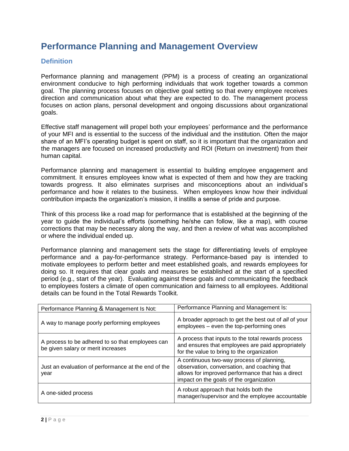# <span id="page-4-0"></span>**Performance Planning and Management Overview**

### <span id="page-4-1"></span>**Definition**

Performance planning and management (PPM) is a process of creating an organizational environment conducive to high performing individuals that work together towards a common goal. The planning process focuses on objective goal setting so that every employee receives direction and communication about what they are expected to do. The management process focuses on action plans, personal development and ongoing discussions about organizational goals.

Effective staff management will propel both your employees' performance and the performance of your MFI and is essential to the success of the individual and the institution. Often the major share of an MFI's operating budget is spent on staff, so it is important that the organization and the managers are focused on increased productivity and ROI (Return on investment) from their human capital.

Performance planning and management is essential to building employee engagement and commitment. It ensures employees know what is expected of them and how they are tracking towards progress. It also eliminates surprises and misconceptions about an individual's performance and how it relates to the business. When employees know how their individual contribution impacts the organization's mission, it instills a sense of pride and purpose.

Think of this process like a road map for performance that is established at the beginning of the year to guide the individual's efforts (something he/she can follow, like a map), with course corrections that may be necessary along the way, and then a review of what was accomplished or where the individual ended up.

Performance planning and management sets the stage for differentiating levels of employee performance and a pay-for-performance strategy. Performance-based pay is intended to motivate employees to perform better and meet established goals, and rewards employees for doing so. It requires that clear goals and measures be established at the start of a specified period (e.g., start of the year). Evaluating against these goals and communicating the feedback to employees fosters a climate of open communication and fairness to all employees. Additional details can be found in the Total Rewards Toolkit.

| Performance Planning & Management Is Not:                                              | Performance Planning and Management Is:                                                                                                                                                   |
|----------------------------------------------------------------------------------------|-------------------------------------------------------------------------------------------------------------------------------------------------------------------------------------------|
| A way to manage poorly performing employees                                            | A broader approach to get the best out of all of your<br>employees – even the top-performing ones                                                                                         |
| A process to be adhered to so that employees can<br>be given salary or merit increases | A process that inputs to the total rewards process<br>and ensures that employees are paid appropriately<br>for the value to bring to the organization                                     |
| Just an evaluation of performance at the end of the<br>year                            | A continuous two-way process of planning,<br>observation, conversation, and coaching that<br>allows for improved performance that has a direct<br>impact on the goals of the organization |
| A one-sided process                                                                    | A robust approach that holds both the<br>manager/supervisor and the employee accountable                                                                                                  |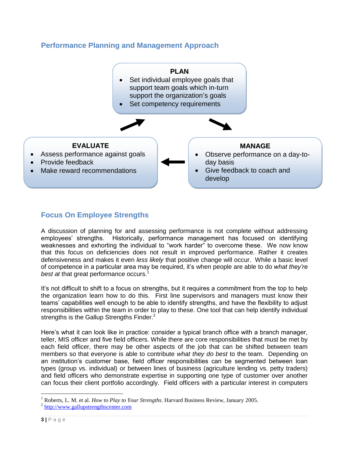### <span id="page-5-0"></span>**Performance Planning and Management Approach**



# <span id="page-5-1"></span>**Focus On Employee Strengths**

A discussion of planning for and assessing performance is not complete without addressing employees' strengths. Historically, performance management has focused on identifying weaknesses and exhorting the individual to "work harder" to overcome these. We now know that this focus on deficiencies does not result in improved performance. Rather it creates defensiveness and makes it even *less likely* that positive change will occur. While a basic level of competence in a particular area may be required, it's when people are able to do *what they're best at* that great performance occurs.<sup>1</sup>

It's not difficult to shift to a focus on strengths, but it requires a commitment from the top to help the organization learn how to do this. First line supervisors and managers must know their teams' capabilities well enough to be able to identify strengths, and have the flexibility to adjust responsibilities within the team in order to play to these. One tool that can help identify individual strengths is the Gallup Strengths Finder.<sup>2</sup>

Here's what it can look like in practice: consider a typical branch office with a branch manager, teller, MIS officer and five field officers. While there are core responsibilities that must be met by each field officer, there may be other aspects of the job that can be shifted between team members so that everyone is able to contribute *what they do best* to the team. Depending on an institution's customer base, field officer responsibilities can be segmented between loan types (group vs. individual) or between lines of business (agriculture lending vs. petty traders) and field officers who demonstrate expertise in supporting one type of customer over another can focus their client portfolio accordingly. Field officers with a particular interest in computers

<sup>1</sup> Roberts, L. M. et al. *How to Play to Your Strengths*. Harvard Business Review, January 2005.

<sup>&</sup>lt;sup>2</sup> [http://www.gallupstrengthscenter.com](http://www.gallupstrengthscenter.com/)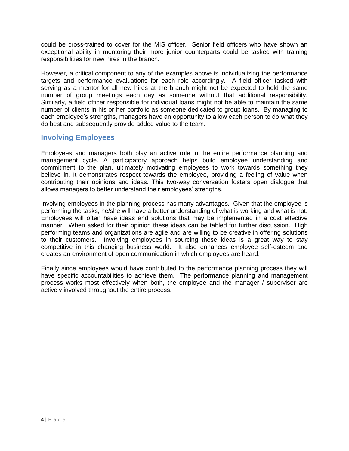could be cross-trained to cover for the MIS officer. Senior field officers who have shown an exceptional ability in mentoring their more junior counterparts could be tasked with training responsibilities for new hires in the branch.

However, a critical component to any of the examples above is individualizing the performance targets and performance evaluations for each role accordingly. A field officer tasked with serving as a mentor for all new hires at the branch might not be expected to hold the same number of group meetings each day as someone without that additional responsibility. Similarly, a field officer responsible for individual loans might not be able to maintain the same number of clients in his or her portfolio as someone dedicated to group loans. By managing to each employee's strengths, managers have an opportunity to allow each person to do what they do best and subsequently provide added value to the team.

### <span id="page-6-0"></span>**Involving Employees**

Employees and managers both play an active role in the entire performance planning and management cycle. A participatory approach helps build employee understanding and commitment to the plan, ultimately motivating employees to work towards something they believe in. It demonstrates respect towards the employee, providing a feeling of value when contributing their opinions and ideas. This two-way conversation fosters open dialogue that allows managers to better understand their employees' strengths.

Involving employees in the planning process has many advantages. Given that the employee is performing the tasks, he/she will have a better understanding of what is working and what is not. Employees will often have ideas and solutions that may be implemented in a cost effective manner. When asked for their opinion these ideas can be tabled for further discussion. High performing teams and organizations are agile and are willing to be creative in offering solutions to their customers. Involving employees in sourcing these ideas is a great way to stay competitive in this changing business world. It also enhances employee self-esteem and creates an environment of open communication in which employees are heard.

Finally since employees would have contributed to the performance planning process they will have specific accountabilities to achieve them. The performance planning and management process works most effectively when both, the employee and the manager / supervisor are actively involved throughout the entire process.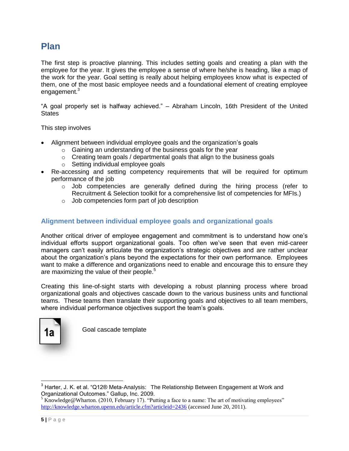# <span id="page-7-0"></span>**Plan**

The first step is proactive planning. This includes setting goals and creating a plan with the employee for the year. It gives the employee a sense of where he/she is heading, like a map of the work for the year. Goal setting is really about helping employees know what is expected of them, one of the most basic employee needs and a foundational element of creating employee engagement.<sup>3</sup>

"A goal properly set is halfway achieved." – Abraham Lincoln, 16th President of the United **States** 

This step involves

- Alignment between individual employee goals and the organization's goals
	- o Gaining an understanding of the business goals for the year
	- $\circ$  Creating team goals / departmental goals that align to the business goals
	- o Setting individual employee goals
- Re-accessing and setting competency requirements that will be required for optimum performance of the job
	- o Job competencies are generally defined during the hiring process (refer to Recruitment & Selection toolkit for a comprehensive list of competencies for MFIs.)
	- o Job competencies form part of job description

#### <span id="page-7-1"></span>**Alignment between individual employee goals and organizational goals**

Another critical driver of employee engagement and commitment is to understand how one's individual efforts support organizational goals. Too often we've seen that even mid-career managers can't easily articulate the organization's strategic objectives and are rather unclear about the organization's plans beyond the expectations for their own performance. Employees want to make a difference and organizations need to enable and encourage this to ensure they are maximizing the value of their people. $5$ 

Creating this line-of-sight starts with developing a robust planning process where broad organizational goals and objectives cascade down to the various business units and functional teams. These teams then translate their supporting goals and objectives to all team members, where individual performance objectives support the team's goals.



Goal cascade template

 $3$  Harter, J. K. et al. "Q12® Meta-Analysis: The Relationship Between Engagement at Work and Organizational Outcomes." Gallup, Inc. 2009.

 $5$  Knowledge@Wharton. (2010, February 17). "Putting a face to a name: The art of motivating employees" <http://knowledge.wharton.upenn.edu/article.cfm?articleid=2436> (accessed June 20, 2011).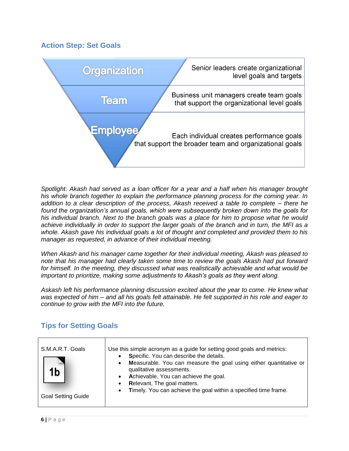### <span id="page-8-0"></span>**Action Step: Set Goals**



*Spotlight: Akash had served as a loan officer for a year and a half when his manager brought his whole branch together to explain the performance planning process for the coming year. In addition to a clear description of the process, Akash received a table to complete – there he found the organization's annual goals, which were subsequently broken down into the goals for his individual branch. Next to the branch goals was a place for him to propose what he would achieve individually in order to support the larger goals of the branch and in turn, the MFI as a whole. Akash gave his individual goals a lot of thought and completed and provided them to his manager as requested, in advance of their individual meeting.*

*When Akash and his manager came together for their individual meeting, Akash was pleased to note that his manager had clearly taken some time to review the goals Akash had put forward for himself. In the meeting, they discussed what was realistically achievable and what would be important to prioritize, making some adjustments to Akash's goals as they went along.*

*Askash left his performance planning discussion excited about the year to come. He knew what was expected of him – and all his goals felt attainable. He felt supported in his role and eager to continue to grow with the MFI into the future.*

| S.M.A.R.T. Goals<br>1 <sub>b</sub><br><b>Goal Setting Guide</b> | Use this simple acronym as a guide for setting good goals and metrics:<br>Specific. You can describe the details.<br>Measurable. You can measure the goal using either quantitative or<br>$\bullet$<br>qualitative assessments.<br>Achievable. You can achieve the goal.<br>$\bullet$<br>Relevant. The goal matters.<br>$\bullet$<br>Timely. You can achieve the goal within a specified time frame.<br>$\bullet$ |
|-----------------------------------------------------------------|-------------------------------------------------------------------------------------------------------------------------------------------------------------------------------------------------------------------------------------------------------------------------------------------------------------------------------------------------------------------------------------------------------------------|
|-----------------------------------------------------------------|-------------------------------------------------------------------------------------------------------------------------------------------------------------------------------------------------------------------------------------------------------------------------------------------------------------------------------------------------------------------------------------------------------------------|

# <span id="page-8-1"></span>**Tips for Setting Goals**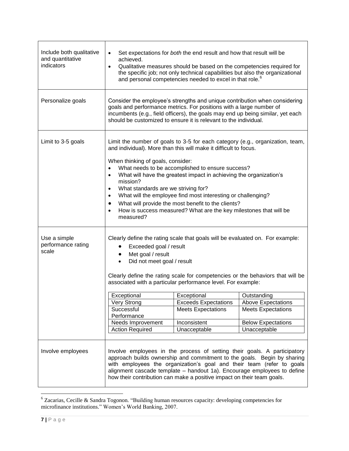| Include both qualitative<br>and quantitative<br>indicators | Set expectations for both the end result and how that result will be<br>achieved.<br>Qualitative measures should be based on the competencies required for<br>$\bullet$<br>the specific job; not only technical capabilities but also the organizational<br>and personal competencies needed to excel in that role. <sup>6</sup>                                                                                                                                                                                                                                                                                                                                                  |                                                                        |                                                                                                                                                                                                                                                                                                         |  |  |  |  |
|------------------------------------------------------------|-----------------------------------------------------------------------------------------------------------------------------------------------------------------------------------------------------------------------------------------------------------------------------------------------------------------------------------------------------------------------------------------------------------------------------------------------------------------------------------------------------------------------------------------------------------------------------------------------------------------------------------------------------------------------------------|------------------------------------------------------------------------|---------------------------------------------------------------------------------------------------------------------------------------------------------------------------------------------------------------------------------------------------------------------------------------------------------|--|--|--|--|
| Personalize goals                                          | Consider the employee's strengths and unique contribution when considering<br>goals and performance metrics. For positions with a large number of<br>incumbents (e.g., field officers), the goals may end up being similar, yet each<br>should be customized to ensure it is relevant to the individual.                                                                                                                                                                                                                                                                                                                                                                          |                                                                        |                                                                                                                                                                                                                                                                                                         |  |  |  |  |
| Limit to 3-5 goals                                         | Limit the number of goals to 3-5 for each category (e.g., organization, team,<br>and individual). More than this will make it difficult to focus.<br>When thinking of goals, consider:<br>What needs to be accomplished to ensure success?<br>$\bullet$<br>What will have the greatest impact in achieving the organization's<br>$\bullet$<br>mission?<br>What standards are we striving for?<br>$\bullet$<br>What will the employee find most interesting or challenging?<br>$\bullet$<br>What will provide the most benefit to the clients?<br>How is success measured? What are the key milestones that will be<br>$\bullet$<br>measured?                                      |                                                                        |                                                                                                                                                                                                                                                                                                         |  |  |  |  |
| Use a simple<br>performance rating<br>scale                | Clearly define the rating scale that goals will be evaluated on. For example:<br>Exceeded goal / result<br>Met goal / result<br>$\bullet$<br>Did not meet goal / result<br>$\bullet$<br>Clearly define the rating scale for competencies or the behaviors that will be<br>associated with a particular performance level. For example:<br>Exceptional<br>Exceptional<br>Outstanding<br>Very Strong<br><b>Exceeds Expectations</b><br><b>Above Expectations</b><br>Successful<br><b>Meets Expectations</b><br><b>Meets Expectations</b><br>Performance<br>Needs Improvement<br>Inconsistent<br><b>Below Expectations</b><br><b>Action Required</b><br>Unacceptable<br>Unacceptable |                                                                        |                                                                                                                                                                                                                                                                                                         |  |  |  |  |
| Involve employees                                          |                                                                                                                                                                                                                                                                                                                                                                                                                                                                                                                                                                                                                                                                                   | how their contribution can make a positive impact on their team goals. | Involve employees in the process of setting their goals. A participatory<br>approach builds ownership and commitment to the goals. Begin by sharing<br>with employees the organization's goal and their team (refer to goals<br>alignment cascade template - handout 1a). Encourage employees to define |  |  |  |  |

 $\overline{a}$  $6$  Zacarias, Cecille & Sandra Togonon. "Building human resources capacity: developing competencies for microfinance institutions." Women's World Banking, 2007.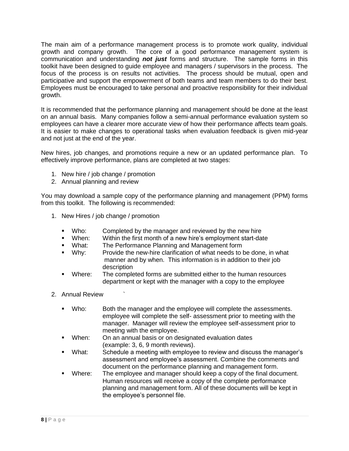The main aim of a performance management process is to promote work quality, individual growth and company growth. The core of a good performance management system is communication and understanding *not just* forms and structure. The sample forms in this toolkit have been designed to guide employee and managers / supervisors in the process. The focus of the process is on results not activities. The process should be mutual, open and participative and support the empowerment of both teams and team members to do their best. Employees must be encouraged to take personal and proactive responsibility for their individual growth.

It is recommended that the performance planning and management should be done at the least on an annual basis. Many companies follow a semi-annual performance evaluation system so employees can have a clearer more accurate view of how their performance affects team goals. It is easier to make changes to operational tasks when evaluation feedback is given mid-year and not just at the end of the year.

New hires, job changes, and promotions require a new or an updated performance plan. To effectively improve performance, plans are completed at two stages:

- 1. New hire / job change / promotion
- 2. Annual planning and review

You may download a sample copy of the performance planning and management (PPM) forms from this toolkit. The following is recommended:

- 1. New Hires / job change / promotion
	- Who: Completed by the manager and reviewed by the new hire
	- When: Within the first month of a new hire's employment start-date
	- **What:** The Performance Planning and Management form
	- Why: Provide the new-hire clarification of what needs to be done, in what manner and by when. This information is in addition to their job description
	- Where: The completed forms are submitted either to the human resources department or kept with the manager with a copy to the employee
- 2. Annual Review `
	- Who: Both the manager and the employee will complete the assessments. employee will complete the self- assessment prior to meeting with the manager. Manager will review the employee self-assessment prior to meeting with the employee.
	- **When:** On an annual basis or on designated evaluation dates (example: 3, 6, 9 month reviews).
	- What: Schedule a meeting with employee to review and discuss the manager's assessment and employee's assessment. Combine the comments and document on the performance planning and management form.
	- Where: The employee and manager should keep a copy of the final document. Human resources will receive a copy of the complete performance planning and management form. All of these documents will be kept in the employee's personnel file.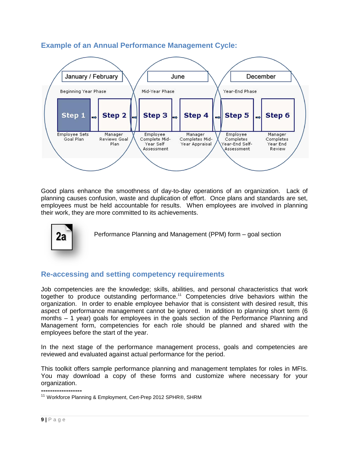

# **Example of an Annual Performance Management Cycle:**

Good plans enhance the smoothness of day-to-day operations of an organization. Lack of planning causes confusion, waste and duplication of effort. Once plans and standards are set, employees must be held accountable for results. When employees are involved in planning their work, they are more committed to its achievements.



Performance Planning and Management (PPM) form – goal section

### **Re-accessing and setting competency requirements**

Job competencies are the knowledge; skills, abilities, and personal characteristics that work together to produce outstanding performance.<sup>11</sup> Competencies drive behaviors within the organization. In order to enable employee behavior that is consistent with desired result, this aspect of performance management cannot be ignored. In addition to planning short term (6 months – 1 year) goals for employees in the goals section of the Performance Planning and Management form, competencies for each role should be planned and shared with the employees before the start of the year.

In the next stage of the performance management process, goals and competencies are reviewed and evaluated against actual performance for the period.

This toolkit offers sample performance planning and management templates for roles in MFIs. You may download a copy of these forms and customize where necessary for your organization.

**------------------** <sup>11</sup> Workforce Planning & Employment, Cert-Prep 2012 SPHR®, SHRM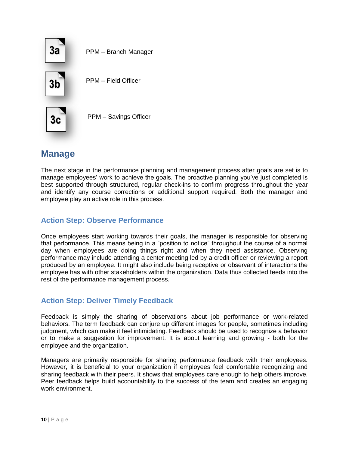

# <span id="page-12-0"></span>**Manage**

The next stage in the performance planning and management process after goals are set is to manage employees' work to achieve the goals. The proactive planning you've just completed is best supported through structured, regular check-ins to confirm progress throughout the year and identify any course corrections or additional support required. Both the manager and employee play an active role in this process.

## <span id="page-12-1"></span>**Action Step: Observe Performance**

Once employees start working towards their goals, the manager is responsible for observing that performance. This means being in a "position to notice" throughout the course of a normal day when employees are doing things right and when they need assistance. Observing performance may include attending a center meeting led by a credit officer or reviewing a report produced by an employee. It might also include being receptive or observant of interactions the employee has with other stakeholders within the organization. Data thus collected feeds into the rest of the performance management process.

### <span id="page-12-2"></span>**Action Step: Deliver Timely Feedback**

Feedback is simply the sharing of observations about job performance or work-related behaviors. The term feedback can conjure up different images for people, sometimes including judgment, which can make it feel intimidating. Feedback should be used to recognize a behavior or to make a suggestion for improvement. It is about learning and growing - both for the employee and the organization.

Managers are primarily responsible for sharing performance feedback with their employees. However, it is beneficial to your organization if employees feel comfortable recognizing and sharing feedback with their peers. It shows that employees care enough to help others improve. Peer feedback helps build accountability to the success of the team and creates an engaging work environment.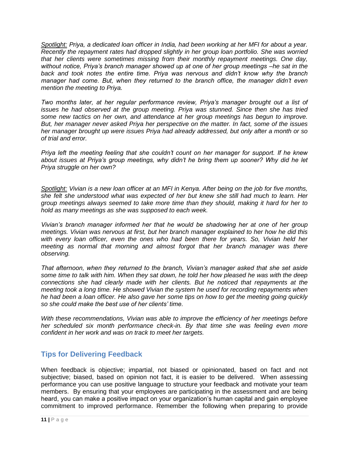*Spotlight: Priya, a dedicated loan officer in India, had been working at her MFI for about a year. Recently the repayment rates had dropped slightly in her group loan portfolio. She was worried that her clients were sometimes missing from their monthly repayment meetings. One day, without notice, Priya's branch manager showed up at one of her group meetings –he sat in the back and took notes the entire time. Priya was nervous and didn't know why the branch manager had come. But, when they returned to the branch office, the manager didn't even mention the meeting to Priya.*

*Two months later, at her regular performance review, Priya's manager brought out a list of issues he had observed at the group meeting. Priya was stunned. Since then she has tried some new tactics on her own, and attendance at her group meetings has begun to improve. But, her manager never asked Priya her perspective on the matter. In fact, some of the issues her manager brought up were issues Priya had already addressed, but only after a month or so of trial and error.*

*Priya left the meeting feeling that she couldn't count on her manager for support. If he knew about issues at Priya's group meetings, why didn't he bring them up sooner? Why did he let Priya struggle on her own?*

*Spotlight: Vivian is a new loan officer at an MFI in Kenya. After being on the job for five months, she felt she understood what was expected of her but knew she still had much to learn. Her group meetings always seemed to take more time than they should, making it hard for her to hold as many meetings as she was supposed to each week.*

*Vivian's branch manager informed her that he would be shadowing her at one of her group meetings. Vivian was nervous at first, but her branch manager explained to her how he did this with every loan officer, even the ones who had been there for years. So, Vivian held her meeting as normal that morning and almost forgot that her branch manager was there observing.*

*That afternoon, when they returned to the branch, Vivian's manager asked that she set aside some time to talk with him. When they sat down, he told her how pleased he was with the deep connections she had clearly made with her clients. But he noticed that repayments at the meeting took a long time. He showed Vivian the system he used for recording repayments when he had been a loan officer. He also gave her some tips on how to get the meeting going quickly so she could make the best use of her clients' time.*

*With these recommendations, Vivian was able to improve the efficiency of her meetings before her scheduled six month performance check-in. By that time she was feeling even more confident in her work and was on track to meet her targets.*

## <span id="page-13-0"></span>**Tips for Delivering Feedback**

When feedback is objective; impartial, not biased or opinionated, based on fact and not subjective; biased, based on opinion not fact, it is easier to be delivered. When assessing performance you can use positive language to structure your feedback and motivate your team members. By ensuring that your employees are participating in the assessment and are being heard, you can make a positive impact on your organization's human capital and gain employee commitment to improved performance. Remember the following when preparing to provide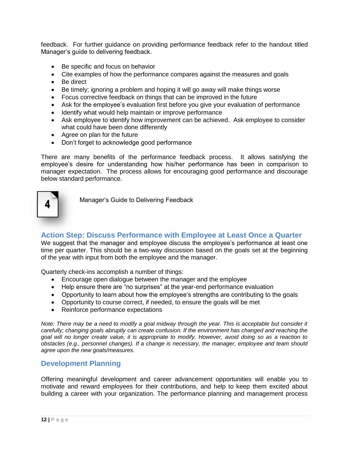feedback. For further guidance on providing performance feedback refer to the handout titled Manager's guide to delivering feedback.

- Be specific and focus on behavior
- Cite examples of how the performance compares against the measures and goals
- Be direct
- Be timely; ignoring a problem and hoping it will go away will make things worse
- Focus corrective feedback on things that can be improved in the future
- Ask for the employee's evaluation first before you give your evaluation of performance
- Identify what would help maintain or improve performance
- Ask employee to identify how improvement can be achieved. Ask employee to consider what could have been done differently
- Agree on plan for the future
- Don't forget to acknowledge good performance

There are many benefits of the performance feedback process. It allows satisfying the employee's desire for understanding how his/her performance has been in comparison to manager expectation. The process allows for encouraging good performance and discourage below standard performance.



<span id="page-14-0"></span>Manager's Guide to Delivering Feedback

#### **Action Step: Discuss Performance with Employee at Least Once a Quarter**

We suggest that the manager and employee discuss the employee's performance at least one time per quarter. This should be a two-way discussion based on the goals set at the beginning of the year with input from both the employee and the manager.

Quarterly check-ins accomplish a number of things:

- Encourage open dialogue between the manager and the employee
- Help ensure there are "no surprises" at the year-end performance evaluation
- Opportunity to learn about how the employee's strengths are contributing to the goals
- Opportunity to course correct, if needed, to ensure the goals will be met
- Reinforce performance expectations

*Note: There may be a need to modify a goal midway through the year. This is acceptable but consider it carefully; changing goals abruptly can create confusion. If the environment has changed and reaching the goal will no longer create value, it is appropriate to modify. However, avoid doing so as a reaction to obstacles (e.g., personnel changes). If a change is necessary, the manager, employee and team should agree upon the new goals/measures.*

#### <span id="page-14-1"></span>**Development Planning**

Offering meaningful development and career advancement opportunities will enable you to motivate and reward employees for their contributions, and help to keep them excited about building a career with your organization. The performance planning and management process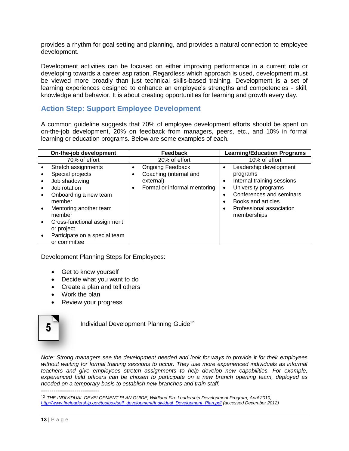provides a rhythm for goal setting and planning, and provides a natural connection to employee development.

Development activities can be focused on either improving performance in a current role or developing towards a career aspiration. Regardless which approach is used, development must be viewed more broadly than just technical skills-based training. Development is a set of learning experiences designed to enhance an employee's strengths and competencies - skill, knowledge and behavior. It is about creating opportunities for learning and growth every day.

### <span id="page-15-0"></span>**Action Step: Support Employee Development**

A common guideline suggests that 70% of employee development efforts should be spent on on-the-job development, 20% on feedback from managers, peers, etc., and 10% in formal learning or education programs. Below are some examples of each.

|           | On-the-job development                                                                                                                          |             | <b>Feedback</b>                                                                                |                                  | <b>Learning/Education Programs</b>                                                                                                                                                   |
|-----------|-------------------------------------------------------------------------------------------------------------------------------------------------|-------------|------------------------------------------------------------------------------------------------|----------------------------------|--------------------------------------------------------------------------------------------------------------------------------------------------------------------------------------|
|           | 70% of effort                                                                                                                                   |             | 20% of effort                                                                                  |                                  | 10% of effort                                                                                                                                                                        |
| $\bullet$ | Stretch assignments<br>Special projects<br>Job shadowing<br>Job rotation<br>Onboarding a new team<br>member<br>Mentoring another team<br>member | ٠<br>٠<br>٠ | <b>Ongoing Feedback</b><br>Coaching (internal and<br>external)<br>Formal or informal mentoring | $\bullet$<br>$\bullet$<br>٠<br>٠ | Leadership development<br>programs<br>Internal training sessions<br>University programs<br>Conferences and seminars<br>Books and articles<br>Professional association<br>memberships |
| $\bullet$ | Cross-functional assignment<br>or project                                                                                                       |             |                                                                                                |                                  |                                                                                                                                                                                      |
|           | Participate on a special team<br>or committee                                                                                                   |             |                                                                                                |                                  |                                                                                                                                                                                      |

Development Planning Steps for Employees:

- Get to know yourself
- Decide what you want to do
- Create a plan and tell others
- Work the plan
- Review your progress



Individual Development Planning Guide<sup>12</sup>

*Note: Strong managers see the development needed and look for ways to provide it for their employees*  without waiting for formal training sessions to occur. They use more experienced individuals as informal *teachers and give employees stretch assignments to help develop new capabilities. For example, experienced field officers can be chosen to participate on a new branch opening team, deployed as needed on a temporary basis to establish new branches and train staff.*

----------------------------

<sup>&</sup>lt;sup>12</sup> THE INDIVIDUAL DEVELOPMENT PLAN GUIDE, Wildland Fire Leadership Development Program, April 2010, *[http://www.fireleadership.gov/toolbox/self\\_development/Individual\\_Development\\_Plan.pdf](http://www.fireleadership.gov/toolbox/self_development/Individual_Development_Plan.pdf) (accessed December 2012)*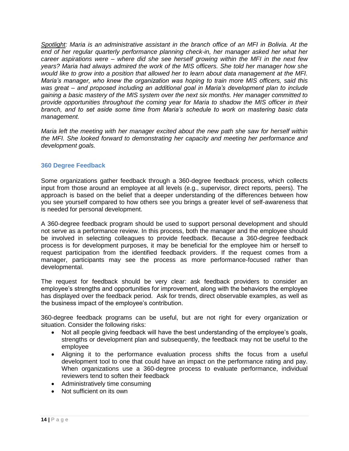*Spotlight: Maria is an administrative assistant in the branch office of an MFI in Bolivia. At the*  end of her regular quarterly performance planning check-in, her manager asked her what her *career aspirations were – where did she see herself growing within the MFI in the next few years? Maria had always admired the work of the MIS officers. She told her manager how she would like to grow into a position that allowed her to learn about data management at the MFI. Maria's manager, who knew the organization was hoping to train more MIS officers, said this was great – and proposed including an additional goal in Maria's development plan to include gaining a basic mastery of the MIS system over the next six months. Her manager committed to provide opportunities throughout the coming year for Maria to shadow the MIS officer in their branch, and to set aside some time from Maria's schedule to work on mastering basic data management.*

*Maria left the meeting with her manager excited about the new path she saw for herself within the MFI. She looked forward to demonstrating her capacity and meeting her performance and development goals.*

#### <span id="page-16-0"></span>**360 Degree Feedback**

Some organizations gather feedback through a 360-degree feedback process, which collects input from those around an employee at all levels (e.g., supervisor, direct reports, peers). The approach is based on the belief that a deeper understanding of the differences between how you see yourself compared to how others see you brings a greater level of self-awareness that is needed for personal development.

A 360-degree feedback program should be used to support personal development and should not serve as a performance review. In this process, both the manager and the employee should be involved in selecting colleagues to provide feedback. Because a 360-degree feedback process is for development purposes, it may be beneficial for the employee him or herself to request participation from the identified feedback providers. If the request comes from a manager, participants may see the process as more performance-focused rather than developmental.

The request for feedback should be very clear: ask feedback providers to consider an employee's strengths and opportunities for improvement, along with the behaviors the employee has displayed over the feedback period. Ask for trends, direct observable examples, as well as the business impact of the employee's contribution.

360-degree feedback programs can be useful, but are not right for every organization or situation. Consider the following risks:

- Not all people giving feedback will have the best understanding of the employee's goals, strengths or development plan and subsequently, the feedback may not be useful to the employee
- Aligning it to the performance evaluation process shifts the focus from a useful development tool to one that could have an impact on the performance rating and pay. When organizations use a 360-degree process to evaluate performance, individual reviewers tend to soften their feedback
- Administratively time consuming
- Not sufficient on its own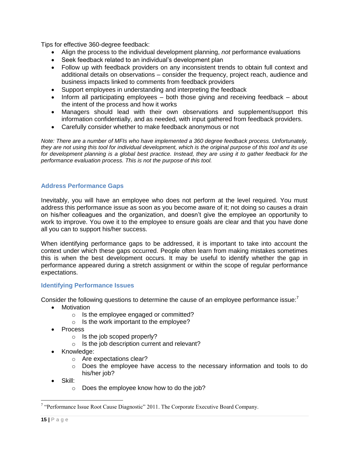Tips for effective 360-degree feedback:

- Align the process to the individual development planning, *not* performance evaluations
- Seek feedback related to an individual's development plan
- Follow up with feedback providers on any inconsistent trends to obtain full context and additional details on observations – consider the frequency, project reach, audience and business impacts linked to comments from feedback providers
- Support employees in understanding and interpreting the feedback
- $\bullet$  Inform all participating employees both those giving and receiving feedback about the intent of the process and how it works
- Managers should lead with their own observations and supplement/support this information confidentially, and as needed, with input gathered from feedback providers.
- Carefully consider whether to make feedback anonymous or not

*Note: There are a number of MFIs who have implemented a 360 degree feedback process. Unfortunately, they are not using this tool for individual development, which is the original purpose of this tool and its use for development planning is a global best practice. Instead, they are using it to gather feedback for the performance evaluation process. This is not the purpose of this tool.*

#### <span id="page-17-0"></span>**Address Performance Gaps**

Inevitably, you will have an employee who does not perform at the level required. You must address this performance issue as soon as you become aware of it; not doing so causes a drain on his/her colleagues and the organization, and doesn't give the employee an opportunity to work to improve. You owe it to the employee to ensure goals are clear and that you have done all you can to support his/her success.

When identifying performance gaps to be addressed, it is important to take into account the context under which these gaps occurred. People often learn from making mistakes sometimes this is when the best development occurs. It may be useful to identify whether the gap in performance appeared during a stretch assignment or within the scope of regular performance expectations.

#### <span id="page-17-1"></span>**Identifying Performance Issues**

Consider the following questions to determine the cause of an employee performance issue: $7$ 

- Motivation
	- o Is the employee engaged or committed?
	- o Is the work important to the employee?
- Process
	- o Is the job scoped properly?
	- o Is the job description current and relevant?
- Knowledge:
	- o Are expectations clear?
	- o Does the employee have access to the necessary information and tools to do his/her job?
- Skill:
	- o Does the employee know how to do the job?

<sup>&</sup>lt;sup>7</sup> "Performance Issue Root Cause Diagnostic" 2011. The Corporate Executive Board Company.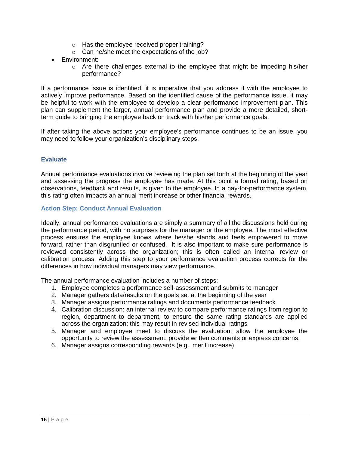- o Has the employee received proper training?
- o Can he/she meet the expectations of the job?
- Environment:
	- $\circ$  Are there challenges external to the employee that might be impeding his/her performance?

If a performance issue is identified, it is imperative that you address it with the employee to actively improve performance. Based on the identified cause of the performance issue, it may be helpful to work with the employee to develop a clear performance improvement plan. This plan can supplement the larger, annual performance plan and provide a more detailed, shortterm guide to bringing the employee back on track with his/her performance goals.

<span id="page-18-0"></span>If after taking the above actions your employee's performance continues to be an issue, you may need to follow your organization's disciplinary steps.

#### **Evaluate**

Annual performance evaluations involve reviewing the plan set forth at the beginning of the year and assessing the progress the employee has made. At this point a formal rating, based on observations, feedback and results, is given to the employee. In a pay-for-performance system, this rating often impacts an annual merit increase or other financial rewards.

#### <span id="page-18-1"></span>**Action Step: Conduct Annual Evaluation**

Ideally, annual performance evaluations are simply a summary of all the discussions held during the performance period, with no surprises for the manager or the employee. The most effective process ensures the employee knows where he/she stands and feels empowered to move forward, rather than disgruntled or confused. It is also important to make sure performance is reviewed consistently across the organization; this is often called an internal review or calibration process. Adding this step to your performance evaluation process corrects for the differences in how individual managers may view performance.

The annual performance evaluation includes a number of steps:

- 1. Employee completes a performance self-assessment and submits to manager
- 2. Manager gathers data/results on the goals set at the beginning of the year
- 3. Manager assigns performance ratings and documents performance feedback
- 4. Calibration discussion: an internal review to compare performance ratings from region to region, department to department, to ensure the same rating standards are applied across the organization; this may result in revised individual ratings
- 5. Manager and employee meet to discuss the evaluation; allow the employee the opportunity to review the assessment, provide written comments or express concerns.
- 6. Manager assigns corresponding rewards (e.g., merit increase)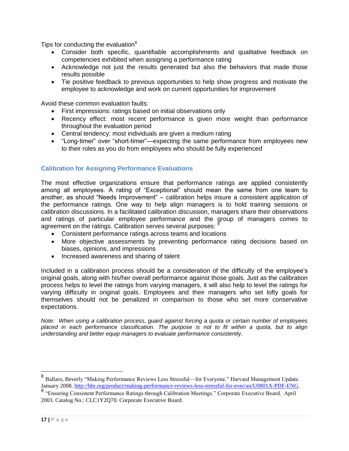Tips for conducting the evaluation $8$ 

- Consider both specific, quantifiable accomplishments and qualitative feedback on competencies exhibited when assigning a performance rating
- Acknowledge not just the results generated but also the behaviors that made those results possible
- Tie positive feedback to previous opportunities to help show progress and motivate the employee to acknowledge and work on current opportunities for improvement

Avoid these common evaluation faults:

- First impressions: ratings based on initial observations only
- Recency effect: most recent performance is given more weight than performance throughout the evaluation period
- Central tendency: most individuals are given a medium rating
- "Long-timer" over "short-timer"—expecting the same performance from employees new to their roles as you do from employees who should be fully experienced

#### <span id="page-19-0"></span>**Calibration for Assigning Performance Evaluations**

The most effective organizations ensure that performance ratings are applied consistently among all employees. A rating of "Exceptional" should mean the same from one team to another, as should "Needs Improvement" – calibration helps insure a consistent application of the performance ratings. One way to help align managers is to hold training sessions or calibration discussions. In a facilitated calibration discussion, managers share their observations and ratings of particular employee performance and the group of managers comes to agreement on the ratings. Calibration serves several purposes: <sup>§</sup>

- Consistent performance ratings across teams and locations
- More objective assessments by preventing performance rating decisions based on biases, opinions, and impressions
- Increased awareness and sharing of talent

Included in a calibration process should be a consideration of the difficulty of the employee's original goals, along with his/her overall performance against those goals. Just as the calibration process helps to level the ratings from varying managers, it will also help to level the ratings for varying difficulty in original goals. Employees and their managers who set lofty goals for themselves should not be penalized in comparison to those who set more conservative expectations.

*Note: When using a calibration process, guard against forcing a quota or certain number of employees placed in each performance classification. The purpose is not to fit within a quota, but to align understanding and better equip managers to evaluate performance consistently.*

<sup>&</sup>lt;sup>8</sup> Ballaro, Beverly "Making Performance Reviews Less Stressful—for Everyone." Harvard Management Update. January 2008[. http://hbr.org/product/making-performance-reviews-less-stressful-for-ever/an/U0801A-PDF-ENG.](http://hbr.org/product/making-performance-reviews-less-stressful-for-ever/an/U0801A-PDF-ENG)

<sup>&</sup>lt;sup>9</sup> "Ensuring Consistent Performance Ratings through Calibration Meetings." Corporate Executive Board. April 2003. Catalog No.: CLC1Y2Q70. Corporate Executive Board.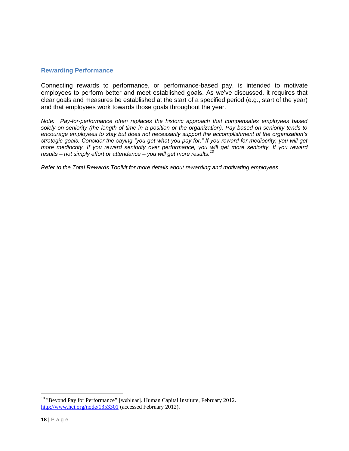#### <span id="page-20-0"></span>**Rewarding Performance**

Connecting rewards to performance, or performance-based pay, is intended to motivate employees to perform better and meet established goals. As we've discussed, it requires that clear goals and measures be established at the start of a specified period (e.g., start of the year) and that employees work towards those goals throughout the year.

*Note: Pay-for-performance often replaces the historic approach that compensates employees based solely on seniority (the length of time in a position or the organization). Pay based on seniority tends to encourage employees to stay but does not necessarily support the accomplishment of the organization's strategic goals. Consider the saying "you get what you pay for." If you reward for mediocrity, you will get more mediocrity. If you reward seniority over performance, you will get more seniority. If you reward results – not simply effort or attendance – you will get more results.<sup>10</sup>*

*Refer to the Total Rewards Toolkit for more details about rewarding and motivating employees.*

<sup>&</sup>lt;sup>10</sup> "Beyond Pay for Performance" [webinar]. Human Capital Institute, February 2012. <http://www.hci.org/node/1353301> (accessed February 2012).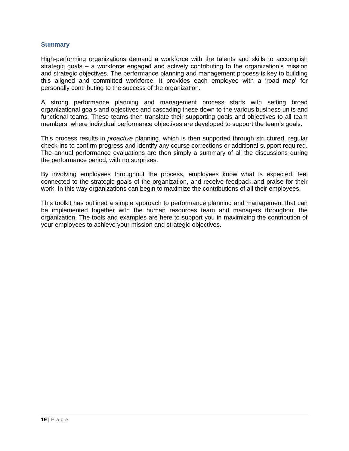#### <span id="page-21-0"></span>**Summary**

High-performing organizations demand a workforce with the talents and skills to accomplish strategic goals – a workforce engaged and actively contributing to the organization's mission and strategic objectives. The performance planning and management process is key to building this aligned and committed workforce. It provides each employee with a 'road map' for personally contributing to the success of the organization.

A strong performance planning and management process starts with setting broad organizational goals and objectives and cascading these down to the various business units and functional teams. These teams then translate their supporting goals and objectives to all team members, where individual performance objectives are developed to support the team's goals.

This process results in *proactive* planning, which is then supported through structured, regular check-ins to confirm progress and identify any course corrections or additional support required. The annual performance evaluations are then simply a summary of all the discussions during the performance period, with no surprises.

By involving employees throughout the process, employees know what is expected, feel connected to the strategic goals of the organization, and receive feedback and praise for their work. In this way organizations can begin to maximize the contributions of all their employees.

This toolkit has outlined a simple approach to performance planning and management that can be implemented together with the human resources team and managers throughout the organization. The tools and examples are here to support you in maximizing the contribution of your employees to achieve your mission and strategic objectives.